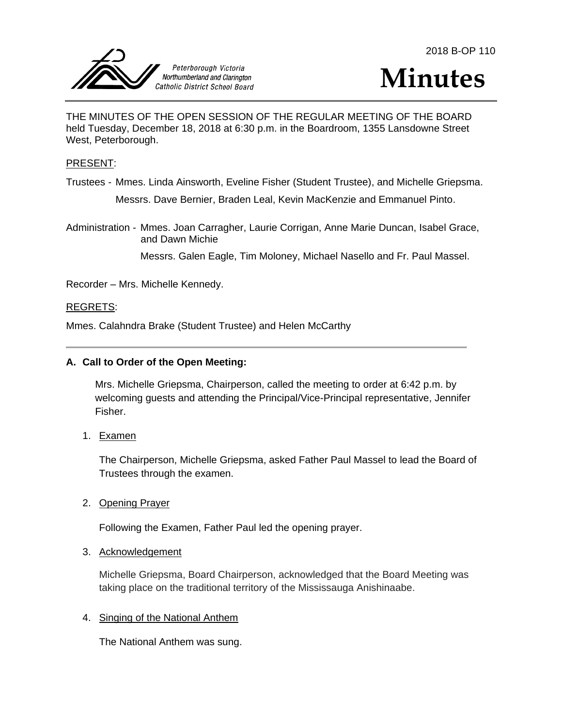



THE MINUTES OF THE OPEN SESSION OF THE REGULAR MEETING OF THE BOARD held Tuesday, December 18, 2018 at 6:30 p.m. in the Boardroom, 1355 Lansdowne Street West, Peterborough.

### PRESENT:

Trustees - Mmes. Linda Ainsworth, Eveline Fisher (Student Trustee), and Michelle Griepsma. Messrs. Dave Bernier, Braden Leal, Kevin MacKenzie and Emmanuel Pinto.

Administration - Mmes. Joan Carragher, Laurie Corrigan, Anne Marie Duncan, Isabel Grace, and Dawn Michie

Messrs. Galen Eagle, Tim Moloney, Michael Nasello and Fr. Paul Massel.

Recorder – Mrs. Michelle Kennedy.

#### REGRETS:

Mmes. Calahndra Brake (Student Trustee) and Helen McCarthy

#### **A. Call to Order of the Open Meeting:**

Mrs. Michelle Griepsma, Chairperson, called the meeting to order at 6:42 p.m. by welcoming guests and attending the Principal/Vice-Principal representative, Jennifer Fisher.

1. Examen

The Chairperson, Michelle Griepsma, asked Father Paul Massel to lead the Board of Trustees through the examen.

2. Opening Prayer

Following the Examen, Father Paul led the opening prayer.

### 3. Acknowledgement

Michelle Griepsma, Board Chairperson, acknowledged that the Board Meeting was taking place on the traditional territory of the Mississauga Anishinaabe.

### 4. Singing of the National Anthem

The National Anthem was sung.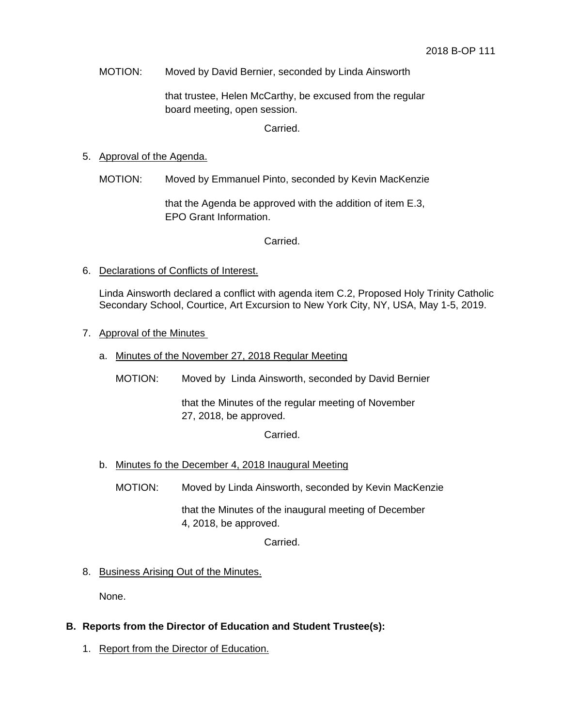MOTION: Moved by David Bernier, seconded by Linda Ainsworth

that trustee, Helen McCarthy, be excused from the regular board meeting, open session.

Carried.

## 5. Approval of the Agenda.

MOTION: Moved by Emmanuel Pinto, seconded by Kevin MacKenzie

that the Agenda be approved with the addition of item E.3, EPO Grant Information.

Carried.

6. Declarations of Conflicts of Interest.

Linda Ainsworth declared a conflict with agenda item C.2, Proposed Holy Trinity Catholic Secondary School, Courtice, Art Excursion to New York City, NY, USA, May 1-5, 2019.

- 7. Approval of the Minutes
	- a. Minutes of the November 27, 2018 Regular Meeting
		- MOTION: Moved by Linda Ainsworth, seconded by David Bernier

that the Minutes of the regular meeting of November 27, 2018, be approved.

Carried.

- b. Minutes fo the December 4, 2018 Inaugural Meeting
	- MOTION: Moved by Linda Ainsworth, seconded by Kevin MacKenzie

that the Minutes of the inaugural meeting of December 4, 2018, be approved.

Carried.

8. Business Arising Out of the Minutes.

None.

- **B. Reports from the Director of Education and Student Trustee(s):**
	- 1. Report from the Director of Education.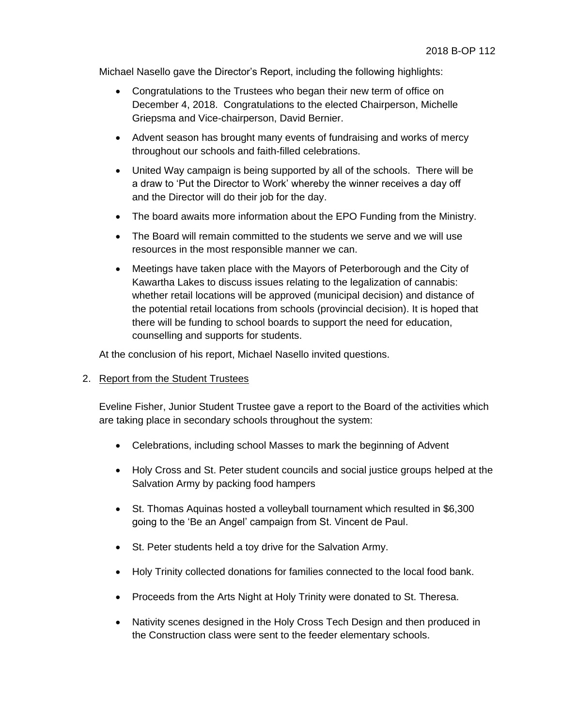Michael Nasello gave the Director's Report, including the following highlights:

- Congratulations to the Trustees who began their new term of office on December 4, 2018. Congratulations to the elected Chairperson, Michelle Griepsma and Vice-chairperson, David Bernier.
- Advent season has brought many events of fundraising and works of mercy throughout our schools and faith-filled celebrations.
- United Way campaign is being supported by all of the schools. There will be a draw to 'Put the Director to Work' whereby the winner receives a day off and the Director will do their job for the day.
- The board awaits more information about the EPO Funding from the Ministry.
- The Board will remain committed to the students we serve and we will use resources in the most responsible manner we can.
- Meetings have taken place with the Mayors of Peterborough and the City of Kawartha Lakes to discuss issues relating to the legalization of cannabis: whether retail locations will be approved (municipal decision) and distance of the potential retail locations from schools (provincial decision). It is hoped that there will be funding to school boards to support the need for education, counselling and supports for students.

At the conclusion of his report, Michael Nasello invited questions.

# 2. Report from the Student Trustees

Eveline Fisher, Junior Student Trustee gave a report to the Board of the activities which are taking place in secondary schools throughout the system:

- Celebrations, including school Masses to mark the beginning of Advent
- Holy Cross and St. Peter student councils and social justice groups helped at the Salvation Army by packing food hampers
- St. Thomas Aquinas hosted a volleyball tournament which resulted in \$6,300 going to the 'Be an Angel' campaign from St. Vincent de Paul.
- St. Peter students held a toy drive for the Salvation Army.
- Holy Trinity collected donations for families connected to the local food bank.
- Proceeds from the Arts Night at Holy Trinity were donated to St. Theresa.
- Nativity scenes designed in the Holy Cross Tech Design and then produced in the Construction class were sent to the feeder elementary schools.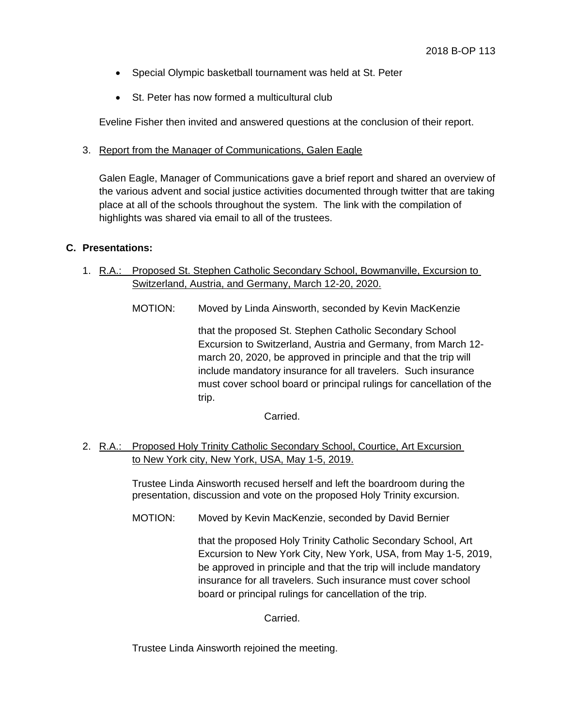- Special Olympic basketball tournament was held at St. Peter
- St. Peter has now formed a multicultural club

Eveline Fisher then invited and answered questions at the conclusion of their report.

3. Report from the Manager of Communications, Galen Eagle

Galen Eagle, Manager of Communications gave a brief report and shared an overview of the various advent and social justice activities documented through twitter that are taking place at all of the schools throughout the system. The link with the compilation of highlights was shared via email to all of the trustees.

## **C. Presentations:**

- 1. R.A.: Proposed St. Stephen Catholic Secondary School, Bowmanville, Excursion to Switzerland, Austria, and Germany, March 12-20, 2020.
	- MOTION: Moved by Linda Ainsworth, seconded by Kevin MacKenzie

that the proposed St. Stephen Catholic Secondary School Excursion to Switzerland, Austria and Germany, from March 12 march 20, 2020, be approved in principle and that the trip will include mandatory insurance for all travelers. Such insurance must cover school board or principal rulings for cancellation of the trip.

Carried.

2. R.A.: Proposed Holy Trinity Catholic Secondary School, Courtice, Art Excursion to New York city, New York, USA, May 1-5, 2019.

> Trustee Linda Ainsworth recused herself and left the boardroom during the presentation, discussion and vote on the proposed Holy Trinity excursion.

MOTION: Moved by Kevin MacKenzie, seconded by David Bernier

that the proposed Holy Trinity Catholic Secondary School, Art Excursion to New York City, New York, USA, from May 1-5, 2019, be approved in principle and that the trip will include mandatory insurance for all travelers. Such insurance must cover school board or principal rulings for cancellation of the trip.

Carried.

Trustee Linda Ainsworth rejoined the meeting.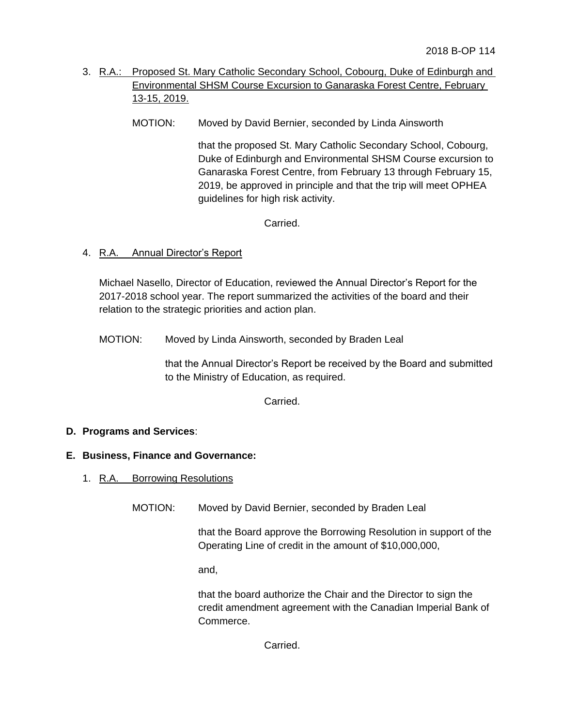- 3. R.A.: Proposed St. Mary Catholic Secondary School, Cobourg, Duke of Edinburgh and Environmental SHSM Course Excursion to Ganaraska Forest Centre, February 13-15, 2019.
	- MOTION: Moved by David Bernier, seconded by Linda Ainsworth

that the proposed St. Mary Catholic Secondary School, Cobourg, Duke of Edinburgh and Environmental SHSM Course excursion to Ganaraska Forest Centre, from February 13 through February 15, 2019, be approved in principle and that the trip will meet OPHEA guidelines for high risk activity.

Carried.

4. R.A. Annual Director's Report

Michael Nasello, Director of Education, reviewed the Annual Director's Report for the 2017-2018 school year. The report summarized the activities of the board and their relation to the strategic priorities and action plan.

MOTION: Moved by Linda Ainsworth, seconded by Braden Leal

that the Annual Director's Report be received by the Board and submitted to the Ministry of Education, as required.

Carried.

# **D. Programs and Services**:

### **E. Business, Finance and Governance:**

- 1. R.A. Borrowing Resolutions
	- MOTION: Moved by David Bernier, seconded by Braden Leal

that the Board approve the Borrowing Resolution in support of the Operating Line of credit in the amount of \$10,000,000,

and,

that the board authorize the Chair and the Director to sign the credit amendment agreement with the Canadian Imperial Bank of Commerce.

Carried.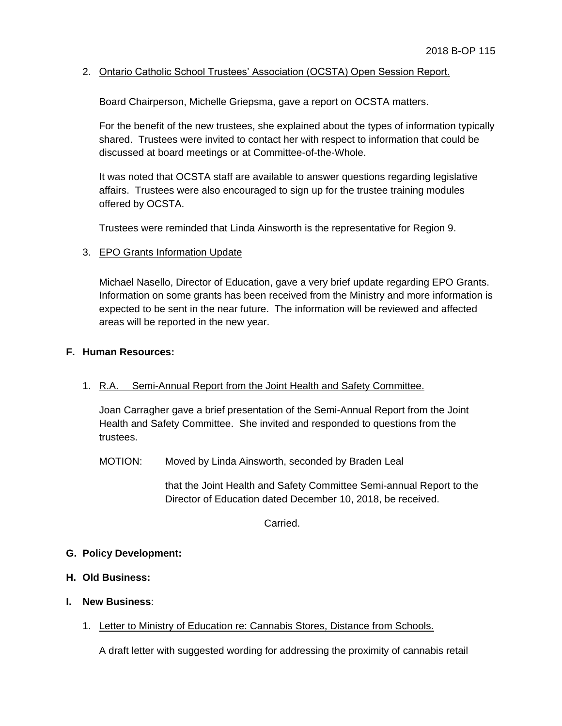## 2. Ontario Catholic School Trustees' Association (OCSTA) Open Session Report.

Board Chairperson, Michelle Griepsma, gave a report on OCSTA matters.

For the benefit of the new trustees, she explained about the types of information typically shared. Trustees were invited to contact her with respect to information that could be discussed at board meetings or at Committee-of-the-Whole.

It was noted that OCSTA staff are available to answer questions regarding legislative affairs. Trustees were also encouraged to sign up for the trustee training modules offered by OCSTA.

Trustees were reminded that Linda Ainsworth is the representative for Region 9.

## 3. EPO Grants Information Update

Michael Nasello, Director of Education, gave a very brief update regarding EPO Grants. Information on some grants has been received from the Ministry and more information is expected to be sent in the near future. The information will be reviewed and affected areas will be reported in the new year.

### **F. Human Resources:**

# 1. R.A. Semi-Annual Report from the Joint Health and Safety Committee.

Joan Carragher gave a brief presentation of the Semi-Annual Report from the Joint Health and Safety Committee. She invited and responded to questions from the trustees.

MOTION: Moved by Linda Ainsworth, seconded by Braden Leal

that the Joint Health and Safety Committee Semi-annual Report to the Director of Education dated December 10, 2018, be received.

Carried.

### **G. Policy Development:**

- **H. Old Business:**
- **I. New Business**:
	- 1. Letter to Ministry of Education re: Cannabis Stores, Distance from Schools.

A draft letter with suggested wording for addressing the proximity of cannabis retail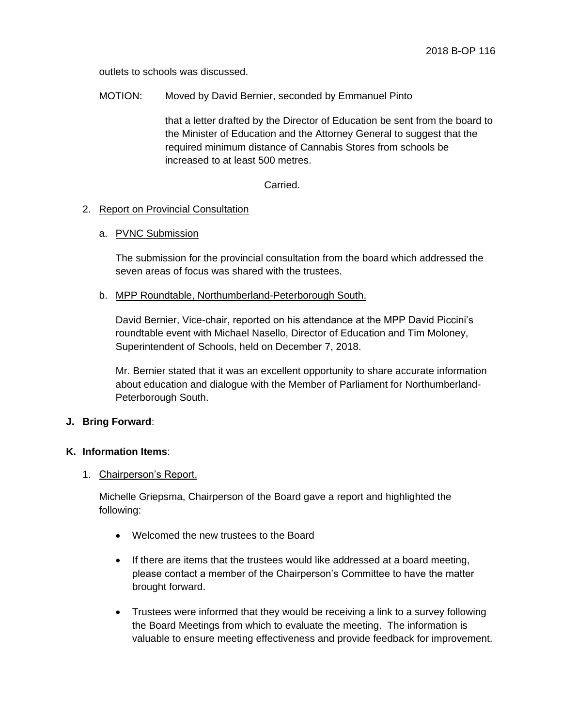outlets to schools was discussed.

MOTION: Moved by David Bernier, seconded by Emmanuel Pinto

that a letter drafted by the Director of Education be sent from the board to the Minister of Education and the Attorney General to suggest that the required minimum distance of Cannabis Stores from schools be increased to at least 500 metres.

**Carried** 

## 2. Report on Provincial Consultation

### a. PVNC Submission

The submission for the provincial consultation from the board which addressed the seven areas of focus was shared with the trustees.

## b. MPP Roundtable, Northumberland-Peterborough South.

David Bernier, Vice-chair, reported on his attendance at the MPP David Piccini's roundtable event with Michael Nasello, Director of Education and Tim Moloney, Superintendent of Schools, held on December 7, 2018.

Mr. Bernier stated that it was an excellent opportunity to share accurate information about education and dialogue with the Member of Parliament for Northumberland-Peterborough South.

# **J. Bring Forward**:

# **K. Information Items**:

### 1. Chairperson's Report.

Michelle Griepsma, Chairperson of the Board gave a report and highlighted the following:

- Welcomed the new trustees to the Board
- If there are items that the trustees would like addressed at a board meeting, please contact a member of the Chairperson's Committee to have the matter brought forward.
- Trustees were informed that they would be receiving a link to a survey following the Board Meetings from which to evaluate the meeting. The information is valuable to ensure meeting effectiveness and provide feedback for improvement.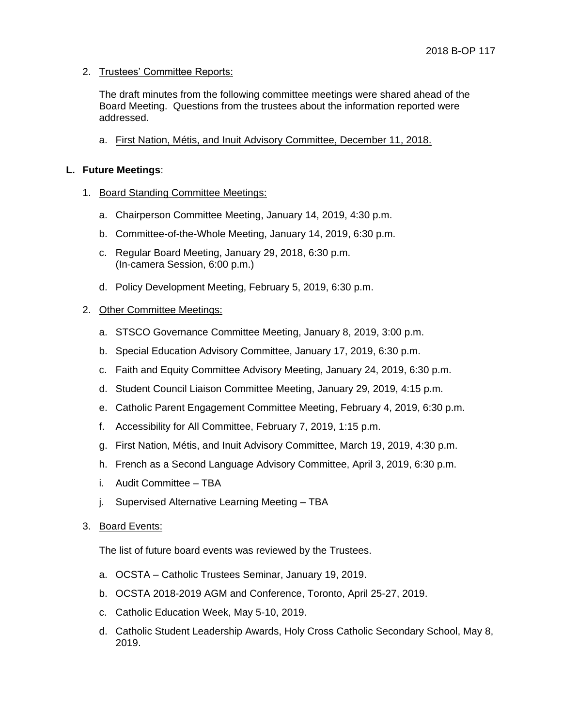## 2. Trustees' Committee Reports:

The draft minutes from the following committee meetings were shared ahead of the Board Meeting. Questions from the trustees about the information reported were addressed.

a. First Nation, Métis, and Inuit Advisory Committee, December 11, 2018.

### **L. Future Meetings**:

- 1. Board Standing Committee Meetings:
	- a. Chairperson Committee Meeting, January 14, 2019, 4:30 p.m.
	- b. Committee-of-the-Whole Meeting, January 14, 2019, 6:30 p.m.
	- c. Regular Board Meeting, January 29, 2018, 6:30 p.m. (In-camera Session, 6:00 p.m.)
	- d. Policy Development Meeting, February 5, 2019, 6:30 p.m.

## 2. Other Committee Meetings:

- a. STSCO Governance Committee Meeting, January 8, 2019, 3:00 p.m.
- b. Special Education Advisory Committee, January 17, 2019, 6:30 p.m.
- c. Faith and Equity Committee Advisory Meeting, January 24, 2019, 6:30 p.m.
- d. Student Council Liaison Committee Meeting, January 29, 2019, 4:15 p.m.
- e. Catholic Parent Engagement Committee Meeting, February 4, 2019, 6:30 p.m.
- f. Accessibility for All Committee, February 7, 2019, 1:15 p.m.
- g. First Nation, Métis, and Inuit Advisory Committee, March 19, 2019, 4:30 p.m.
- h. French as a Second Language Advisory Committee, April 3, 2019, 6:30 p.m.
- i. Audit Committee TBA
- j. Supervised Alternative Learning Meeting TBA
- 3. Board Events:

The list of future board events was reviewed by the Trustees.

- a. OCSTA Catholic Trustees Seminar, January 19, 2019.
- b. OCSTA 2018-2019 AGM and Conference, Toronto, April 25-27, 2019.
- c. Catholic Education Week, May 5-10, 2019.
- d. Catholic Student Leadership Awards, Holy Cross Catholic Secondary School, May 8, 2019.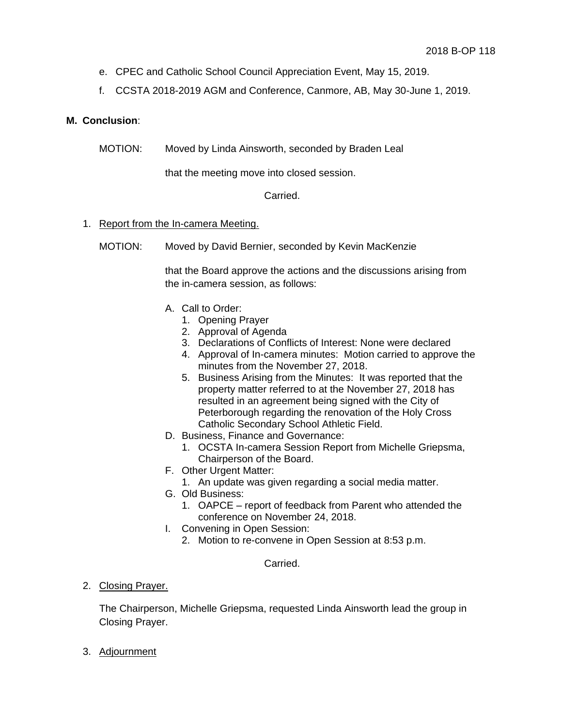- e. CPEC and Catholic School Council Appreciation Event, May 15, 2019.
- f. CCSTA 2018-2019 AGM and Conference, Canmore, AB, May 30-June 1, 2019.

## **M. Conclusion**:

MOTION: Moved by Linda Ainsworth, seconded by Braden Leal

that the meeting move into closed session.

## Carried.

## 1. Report from the In-camera Meeting.

MOTION: Moved by David Bernier, seconded by Kevin MacKenzie

that the Board approve the actions and the discussions arising from the in-camera session, as follows:

- A. Call to Order:
	- 1. Opening Prayer
	- 2. Approval of Agenda
	- 3. Declarations of Conflicts of Interest: None were declared
	- 4. Approval of In-camera minutes: Motion carried to approve the minutes from the November 27, 2018.
	- 5. Business Arising from the Minutes: It was reported that the property matter referred to at the November 27, 2018 has resulted in an agreement being signed with the City of Peterborough regarding the renovation of the Holy Cross Catholic Secondary School Athletic Field.
- D. Business, Finance and Governance:
	- 1. OCSTA In-camera Session Report from Michelle Griepsma, Chairperson of the Board.
- F. Other Urgent Matter:
- 1. An update was given regarding a social media matter.
- G. Old Business:
	- 1. OAPCE report of feedback from Parent who attended the conference on November 24, 2018.
- I. Convening in Open Session:
	- 2. Motion to re-convene in Open Session at 8:53 p.m.

### Carried.

2. Closing Prayer.

The Chairperson, Michelle Griepsma, requested Linda Ainsworth lead the group in Closing Prayer.

3. Adjournment